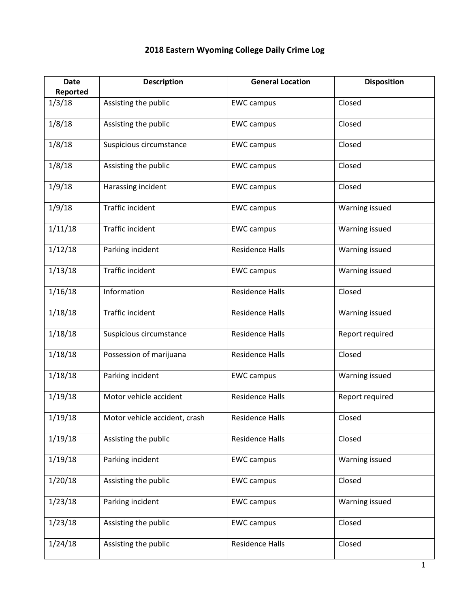| <b>Date</b><br>Reported | <b>Description</b>            | <b>General Location</b> | <b>Disposition</b> |
|-------------------------|-------------------------------|-------------------------|--------------------|
| 1/3/18                  | Assisting the public          | <b>EWC campus</b>       | Closed             |
| 1/8/18                  | Assisting the public          | <b>EWC campus</b>       | Closed             |
|                         |                               |                         |                    |
| 1/8/18                  | Suspicious circumstance       | <b>EWC campus</b>       | Closed             |
| 1/8/18                  | Assisting the public          | <b>EWC campus</b>       | Closed             |
| 1/9/18                  | Harassing incident            | <b>EWC campus</b>       | Closed             |
| 1/9/18                  | Traffic incident              | <b>EWC campus</b>       | Warning issued     |
| 1/11/18                 | Traffic incident              | <b>EWC campus</b>       | Warning issued     |
| 1/12/18                 | Parking incident              | <b>Residence Halls</b>  | Warning issued     |
| 1/13/18                 | Traffic incident              | <b>EWC campus</b>       | Warning issued     |
| 1/16/18                 | Information                   | <b>Residence Halls</b>  | Closed             |
| 1/18/18                 | Traffic incident              | <b>Residence Halls</b>  | Warning issued     |
| 1/18/18                 | Suspicious circumstance       | <b>Residence Halls</b>  | Report required    |
| 1/18/18                 | Possession of marijuana       | <b>Residence Halls</b>  | Closed             |
| 1/18/18                 | Parking incident              | <b>EWC campus</b>       | Warning issued     |
| 1/19/18                 | Motor vehicle accident        | <b>Residence Halls</b>  | Report required    |
| 1/19/18                 | Motor vehicle accident, crash | Residence Halls         | Closed             |
| 1/19/18                 | Assisting the public          | <b>Residence Halls</b>  | Closed             |
| 1/19/18                 | Parking incident              | <b>EWC campus</b>       | Warning issued     |
| 1/20/18                 | Assisting the public          | <b>EWC campus</b>       | Closed             |
| 1/23/18                 | Parking incident              | <b>EWC campus</b>       | Warning issued     |
| 1/23/18                 | Assisting the public          | <b>EWC campus</b>       | Closed             |
| 1/24/18                 | Assisting the public          | <b>Residence Halls</b>  | Closed             |

## **2018 Eastern Wyoming College Daily Crime Log**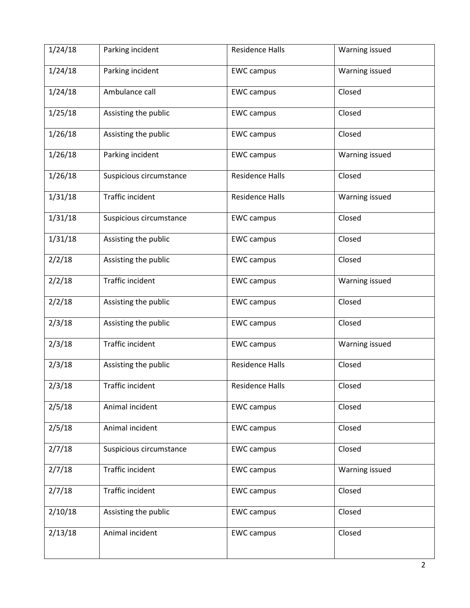| 1/24/18 | Parking incident        | <b>Residence Halls</b> | Warning issued |
|---------|-------------------------|------------------------|----------------|
| 1/24/18 | Parking incident        | <b>EWC</b> campus      | Warning issued |
| 1/24/18 | Ambulance call          | <b>EWC campus</b>      | Closed         |
| 1/25/18 | Assisting the public    | <b>EWC campus</b>      | Closed         |
| 1/26/18 | Assisting the public    | <b>EWC</b> campus      | Closed         |
| 1/26/18 | Parking incident        | <b>EWC campus</b>      | Warning issued |
| 1/26/18 | Suspicious circumstance | <b>Residence Halls</b> | Closed         |
| 1/31/18 | <b>Traffic incident</b> | <b>Residence Halls</b> | Warning issued |
| 1/31/18 | Suspicious circumstance | <b>EWC campus</b>      | Closed         |
| 1/31/18 | Assisting the public    | <b>EWC campus</b>      | Closed         |
| 2/2/18  | Assisting the public    | <b>EWC campus</b>      | Closed         |
| 2/2/18  | Traffic incident        | <b>EWC campus</b>      | Warning issued |
| 2/2/18  | Assisting the public    | <b>EWC campus</b>      | Closed         |
| 2/3/18  | Assisting the public    | <b>EWC campus</b>      | Closed         |
| 2/3/18  | Traffic incident        | <b>EWC campus</b>      | Warning issued |
| 2/3/18  | Assisting the public    | <b>Residence Halls</b> | Closed         |
| 2/3/18  | Traffic incident        | <b>Residence Halls</b> | Closed         |
| 2/5/18  | Animal incident         | <b>EWC campus</b>      | Closed         |
| 2/5/18  | Animal incident         | <b>EWC campus</b>      | Closed         |
| 2/7/18  | Suspicious circumstance | <b>EWC campus</b>      | Closed         |
| 2/7/18  | Traffic incident        | <b>EWC campus</b>      | Warning issued |
| 2/7/18  | Traffic incident        | <b>EWC campus</b>      | Closed         |
| 2/10/18 | Assisting the public    | <b>EWC campus</b>      | Closed         |
| 2/13/18 | Animal incident         | <b>EWC campus</b>      | Closed         |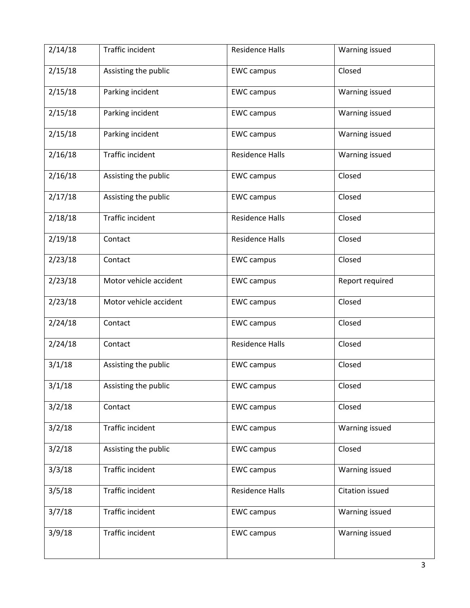| 2/14/18 | Traffic incident       | <b>Residence Halls</b> | Warning issued  |
|---------|------------------------|------------------------|-----------------|
| 2/15/18 | Assisting the public   | <b>EWC campus</b>      | Closed          |
| 2/15/18 | Parking incident       | <b>EWC campus</b>      | Warning issued  |
| 2/15/18 | Parking incident       | <b>EWC campus</b>      | Warning issued  |
| 2/15/18 | Parking incident       | <b>EWC campus</b>      | Warning issued  |
| 2/16/18 | Traffic incident       | <b>Residence Halls</b> | Warning issued  |
| 2/16/18 | Assisting the public   | <b>EWC campus</b>      | Closed          |
| 2/17/18 | Assisting the public   | <b>EWC campus</b>      | Closed          |
| 2/18/18 | Traffic incident       | <b>Residence Halls</b> | Closed          |
| 2/19/18 | Contact                | <b>Residence Halls</b> | Closed          |
| 2/23/18 | Contact                | <b>EWC campus</b>      | Closed          |
| 2/23/18 | Motor vehicle accident | <b>EWC campus</b>      | Report required |
| 2/23/18 | Motor vehicle accident | <b>EWC campus</b>      | Closed          |
| 2/24/18 | Contact                | <b>EWC campus</b>      | Closed          |
| 2/24/18 | Contact                | <b>Residence Halls</b> | Closed          |
| 3/1/18  | Assisting the public   | <b>EWC campus</b>      | Closed          |
| 3/1/18  | Assisting the public   | <b>EWC campus</b>      | Closed          |
| 3/2/18  | Contact                | <b>EWC campus</b>      | Closed          |
| 3/2/18  | Traffic incident       | <b>EWC campus</b>      | Warning issued  |
| 3/2/18  | Assisting the public   | <b>EWC campus</b>      | Closed          |
| 3/3/18  | Traffic incident       | <b>EWC campus</b>      | Warning issued  |
| 3/5/18  | Traffic incident       | <b>Residence Halls</b> | Citation issued |
| 3/7/18  | Traffic incident       | <b>EWC campus</b>      | Warning issued  |
| 3/9/18  | Traffic incident       | <b>EWC campus</b>      | Warning issued  |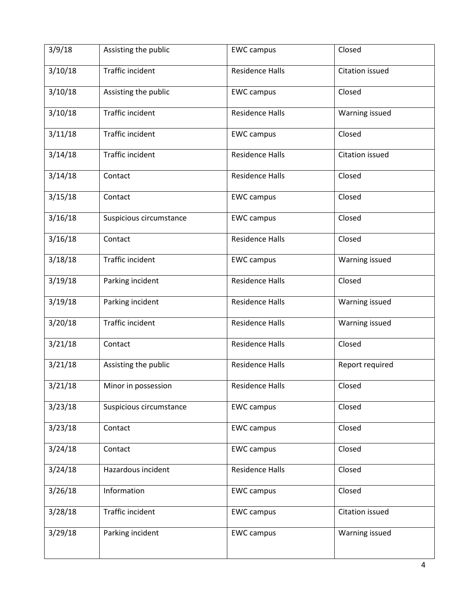| 3/9/18  | Assisting the public    | <b>EWC campus</b>      | Closed          |
|---------|-------------------------|------------------------|-----------------|
| 3/10/18 | Traffic incident        | <b>Residence Halls</b> | Citation issued |
| 3/10/18 | Assisting the public    | <b>EWC campus</b>      | Closed          |
| 3/10/18 | Traffic incident        | <b>Residence Halls</b> | Warning issued  |
| 3/11/18 | Traffic incident        | <b>EWC campus</b>      | Closed          |
| 3/14/18 | Traffic incident        | <b>Residence Halls</b> | Citation issued |
| 3/14/18 | Contact                 | <b>Residence Halls</b> | Closed          |
| 3/15/18 | Contact                 | <b>EWC campus</b>      | Closed          |
| 3/16/18 | Suspicious circumstance | <b>EWC campus</b>      | Closed          |
| 3/16/18 | Contact                 | <b>Residence Halls</b> | Closed          |
| 3/18/18 | Traffic incident        | <b>EWC campus</b>      | Warning issued  |
| 3/19/18 | Parking incident        | <b>Residence Halls</b> | Closed          |
| 3/19/18 | Parking incident        | <b>Residence Halls</b> | Warning issued  |
| 3/20/18 | Traffic incident        | <b>Residence Halls</b> | Warning issued  |
| 3/21/18 | Contact                 | <b>Residence Halls</b> | Closed          |
| 3/21/18 | Assisting the public    | <b>Residence Halls</b> | Report required |
| 3/21/18 | Minor in possession     | Residence Halls        | Closed          |
| 3/23/18 | Suspicious circumstance | <b>EWC campus</b>      | Closed          |
| 3/23/18 | Contact                 | <b>EWC campus</b>      | Closed          |
| 3/24/18 | Contact                 | <b>EWC campus</b>      | Closed          |
| 3/24/18 | Hazardous incident      | <b>Residence Halls</b> | Closed          |
| 3/26/18 | Information             | <b>EWC campus</b>      | Closed          |
| 3/28/18 | Traffic incident        | <b>EWC campus</b>      | Citation issued |
| 3/29/18 | Parking incident        | <b>EWC campus</b>      | Warning issued  |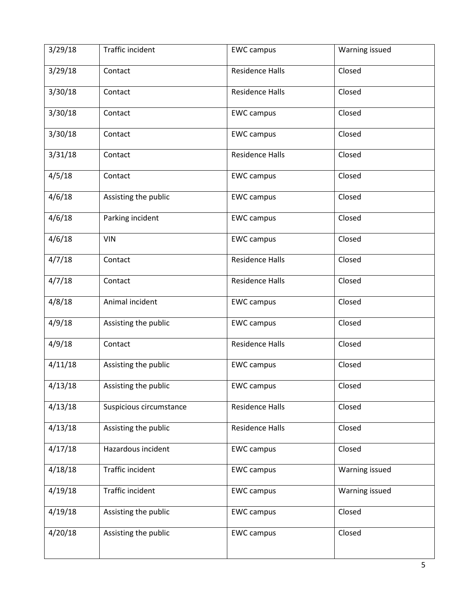| 3/29/18 | Traffic incident        | <b>EWC campus</b>      | Warning issued |
|---------|-------------------------|------------------------|----------------|
| 3/29/18 | Contact                 | <b>Residence Halls</b> | Closed         |
| 3/30/18 | Contact                 | <b>Residence Halls</b> | Closed         |
| 3/30/18 | Contact                 | <b>EWC campus</b>      | Closed         |
| 3/30/18 | Contact                 | <b>EWC campus</b>      | Closed         |
| 3/31/18 | Contact                 | <b>Residence Halls</b> | Closed         |
| 4/5/18  | Contact                 | <b>EWC campus</b>      | Closed         |
| 4/6/18  | Assisting the public    | <b>EWC campus</b>      | Closed         |
| 4/6/18  | Parking incident        | <b>EWC campus</b>      | Closed         |
| 4/6/18  | <b>VIN</b>              | <b>EWC campus</b>      | Closed         |
| 4/7/18  | Contact                 | <b>Residence Halls</b> | Closed         |
| 4/7/18  | Contact                 | <b>Residence Halls</b> | Closed         |
| 4/8/18  | Animal incident         | <b>EWC campus</b>      | Closed         |
| 4/9/18  | Assisting the public    | <b>EWC campus</b>      | Closed         |
| 4/9/18  | Contact                 | <b>Residence Halls</b> | Closed         |
| 4/11/18 | Assisting the public    | <b>EWC campus</b>      | Closed         |
| 4/13/18 | Assisting the public    | <b>EWC campus</b>      | Closed         |
| 4/13/18 | Suspicious circumstance | <b>Residence Halls</b> | Closed         |
| 4/13/18 | Assisting the public    | <b>Residence Halls</b> | Closed         |
| 4/17/18 | Hazardous incident      | <b>EWC campus</b>      | Closed         |
| 4/18/18 | Traffic incident        | <b>EWC campus</b>      | Warning issued |
| 4/19/18 | Traffic incident        | <b>EWC campus</b>      | Warning issued |
| 4/19/18 | Assisting the public    | <b>EWC campus</b>      | Closed         |
| 4/20/18 | Assisting the public    | <b>EWC campus</b>      | Closed         |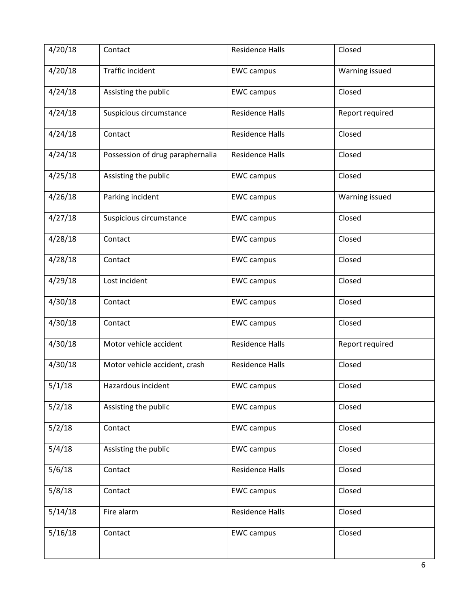| 4/20/18 | Contact                          | <b>Residence Halls</b> | Closed          |
|---------|----------------------------------|------------------------|-----------------|
| 4/20/18 | Traffic incident                 | <b>EWC campus</b>      | Warning issued  |
| 4/24/18 | Assisting the public             | <b>EWC campus</b>      | Closed          |
| 4/24/18 | Suspicious circumstance          | <b>Residence Halls</b> | Report required |
| 4/24/18 | Contact                          | <b>Residence Halls</b> | Closed          |
| 4/24/18 | Possession of drug paraphernalia | <b>Residence Halls</b> | Closed          |
| 4/25/18 | Assisting the public             | <b>EWC campus</b>      | Closed          |
| 4/26/18 | Parking incident                 | <b>EWC campus</b>      | Warning issued  |
| 4/27/18 | Suspicious circumstance          | <b>EWC campus</b>      | Closed          |
| 4/28/18 | Contact                          | <b>EWC campus</b>      | Closed          |
| 4/28/18 | Contact                          | <b>EWC campus</b>      | Closed          |
| 4/29/18 | Lost incident                    | <b>EWC campus</b>      | Closed          |
| 4/30/18 | Contact                          | <b>EWC campus</b>      | Closed          |
| 4/30/18 | Contact                          | <b>EWC campus</b>      | Closed          |
| 4/30/18 | Motor vehicle accident           | <b>Residence Halls</b> | Report required |
| 4/30/18 | Motor vehicle accident, crash    | <b>Residence Halls</b> | Closed          |
| 5/1/18  | Hazardous incident               | <b>EWC campus</b>      | Closed          |
| 5/2/18  | Assisting the public             | <b>EWC campus</b>      | Closed          |
| 5/2/18  | Contact                          | <b>EWC campus</b>      | Closed          |
| 5/4/18  | Assisting the public             | <b>EWC campus</b>      | Closed          |
| 5/6/18  | Contact                          | <b>Residence Halls</b> | Closed          |
| 5/8/18  | Contact                          | <b>EWC campus</b>      | Closed          |
| 5/14/18 | Fire alarm                       | <b>Residence Halls</b> | Closed          |
| 5/16/18 | Contact                          | <b>EWC campus</b>      | Closed          |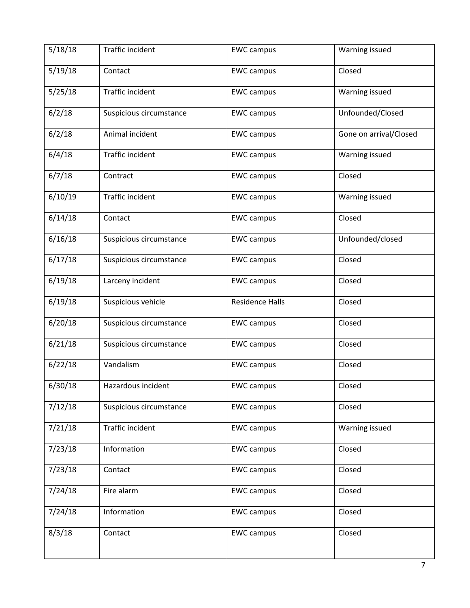| 5/18/18 | Traffic incident        | <b>EWC campus</b>      | Warning issued         |
|---------|-------------------------|------------------------|------------------------|
| 5/19/18 | Contact                 | <b>EWC campus</b>      | Closed                 |
| 5/25/18 | Traffic incident        | <b>EWC campus</b>      | Warning issued         |
| 6/2/18  | Suspicious circumstance | <b>EWC campus</b>      | Unfounded/Closed       |
| 6/2/18  | Animal incident         | <b>EWC campus</b>      | Gone on arrival/Closed |
| 6/4/18  | Traffic incident        | <b>EWC campus</b>      | Warning issued         |
| 6/7/18  | Contract                | <b>EWC campus</b>      | Closed                 |
| 6/10/19 | Traffic incident        | <b>EWC campus</b>      | Warning issued         |
| 6/14/18 | Contact                 | <b>EWC campus</b>      | Closed                 |
| 6/16/18 | Suspicious circumstance | <b>EWC campus</b>      | Unfounded/closed       |
| 6/17/18 | Suspicious circumstance | <b>EWC campus</b>      | Closed                 |
| 6/19/18 | Larceny incident        | <b>EWC campus</b>      | Closed                 |
| 6/19/18 | Suspicious vehicle      | <b>Residence Halls</b> | Closed                 |
| 6/20/18 | Suspicious circumstance | <b>EWC campus</b>      | Closed                 |
| 6/21/18 | Suspicious circumstance | <b>EWC campus</b>      | Closed                 |
| 6/22/18 | Vandalism               | <b>EWC campus</b>      | Closed                 |
| 6/30/18 | Hazardous incident      | <b>EWC campus</b>      | Closed                 |
| 7/12/18 | Suspicious circumstance | <b>EWC campus</b>      | Closed                 |
| 7/21/18 | Traffic incident        | <b>EWC campus</b>      | Warning issued         |
| 7/23/18 | Information             | <b>EWC campus</b>      | Closed                 |
| 7/23/18 | Contact                 | <b>EWC campus</b>      | Closed                 |
| 7/24/18 | Fire alarm              | <b>EWC campus</b>      | Closed                 |
| 7/24/18 | Information             | <b>EWC campus</b>      | Closed                 |
| 8/3/18  | Contact                 | <b>EWC campus</b>      | Closed                 |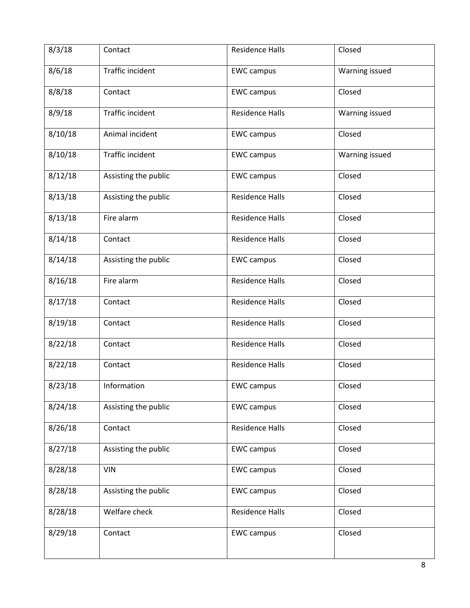| 8/3/18  | Contact              | <b>Residence Halls</b> | Closed         |
|---------|----------------------|------------------------|----------------|
| 8/6/18  | Traffic incident     | <b>EWC campus</b>      | Warning issued |
| 8/8/18  | Contact              | <b>EWC campus</b>      | Closed         |
| 8/9/18  | Traffic incident     | <b>Residence Halls</b> | Warning issued |
| 8/10/18 | Animal incident      | <b>EWC campus</b>      | Closed         |
| 8/10/18 | Traffic incident     | <b>EWC campus</b>      | Warning issued |
| 8/12/18 | Assisting the public | <b>EWC campus</b>      | Closed         |
| 8/13/18 | Assisting the public | <b>Residence Halls</b> | Closed         |
| 8/13/18 | Fire alarm           | <b>Residence Halls</b> | Closed         |
| 8/14/18 | Contact              | <b>Residence Halls</b> | Closed         |
| 8/14/18 | Assisting the public | <b>EWC campus</b>      | Closed         |
| 8/16/18 | Fire alarm           | <b>Residence Halls</b> | Closed         |
| 8/17/18 | Contact              | <b>Residence Halls</b> | Closed         |
| 8/19/18 | Contact              | <b>Residence Halls</b> | Closed         |
| 8/22/18 | Contact              | <b>Residence Halls</b> | Closed         |
| 8/22/18 | Contact              | <b>Residence Halls</b> | Closed         |
| 8/23/18 | Information          | <b>EWC campus</b>      | Closed         |
| 8/24/18 | Assisting the public | <b>EWC campus</b>      | Closed         |
| 8/26/18 | Contact              | <b>Residence Halls</b> | Closed         |
| 8/27/18 | Assisting the public | <b>EWC campus</b>      | Closed         |
| 8/28/18 | <b>VIN</b>           | <b>EWC</b> campus      | Closed         |
| 8/28/18 | Assisting the public | <b>EWC campus</b>      | Closed         |
| 8/28/18 | Welfare check        | <b>Residence Halls</b> | Closed         |
| 8/29/18 | Contact              | <b>EWC campus</b>      | Closed         |
|         |                      |                        |                |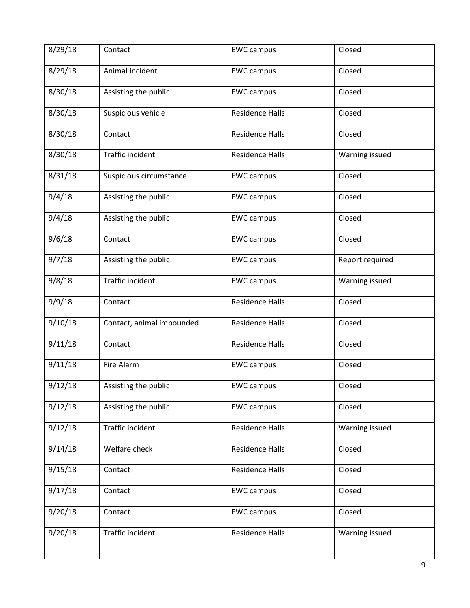| 8/29/18 | Contact                   | <b>EWC campus</b>      | Closed          |
|---------|---------------------------|------------------------|-----------------|
| 8/29/18 | Animal incident           | <b>EWC campus</b>      | Closed          |
| 8/30/18 | Assisting the public      | <b>EWC campus</b>      | Closed          |
| 8/30/18 | Suspicious vehicle        | <b>Residence Halls</b> | Closed          |
| 8/30/18 | Contact                   | <b>Residence Halls</b> | Closed          |
| 8/30/18 | <b>Traffic incident</b>   | <b>Residence Halls</b> | Warning issued  |
| 8/31/18 | Suspicious circumstance   | <b>EWC campus</b>      | Closed          |
| 9/4/18  | Assisting the public      | <b>EWC campus</b>      | Closed          |
| 9/4/18  | Assisting the public      | <b>EWC campus</b>      | Closed          |
| 9/6/18  | Contact                   | <b>EWC campus</b>      | Closed          |
| 9/7/18  | Assisting the public      | <b>EWC campus</b>      | Report required |
| 9/8/18  | Traffic incident          | <b>EWC campus</b>      | Warning issued  |
| 9/9/18  | Contact                   | <b>Residence Halls</b> | Closed          |
| 9/10/18 | Contact, animal impounded | <b>Residence Halls</b> | Closed          |
| 9/11/18 | Contact                   | <b>Residence Halls</b> | Closed          |
| 9/11/18 | Fire Alarm                | <b>EWC campus</b>      | Closed          |
| 9/12/18 | Assisting the public      | <b>EWC campus</b>      | Closed          |
| 9/12/18 | Assisting the public      | <b>EWC campus</b>      | Closed          |
| 9/12/18 | Traffic incident          | <b>Residence Halls</b> | Warning issued  |
| 9/14/18 | Welfare check             | <b>Residence Halls</b> | Closed          |
| 9/15/18 | Contact                   | <b>Residence Halls</b> | Closed          |
| 9/17/18 | Contact                   | <b>EWC campus</b>      | Closed          |
| 9/20/18 | Contact                   | <b>EWC campus</b>      | Closed          |
| 9/20/18 | Traffic incident          | <b>Residence Halls</b> | Warning issued  |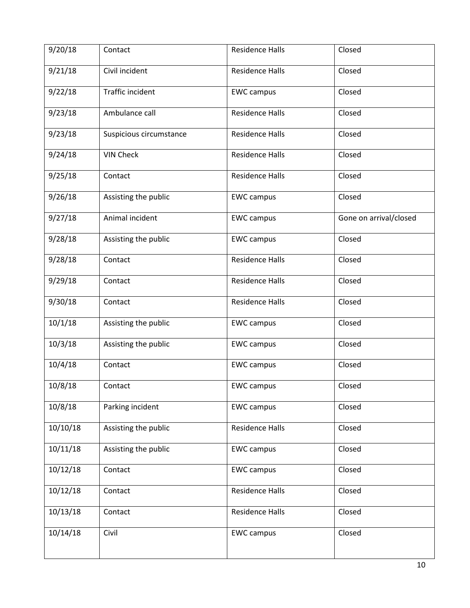| 9/20/18  | Contact                 | <b>Residence Halls</b> | Closed                 |
|----------|-------------------------|------------------------|------------------------|
| 9/21/18  | Civil incident          | <b>Residence Halls</b> | Closed                 |
| 9/22/18  | <b>Traffic incident</b> | <b>EWC campus</b>      | Closed                 |
| 9/23/18  | Ambulance call          | <b>Residence Halls</b> | Closed                 |
| 9/23/18  | Suspicious circumstance | <b>Residence Halls</b> | Closed                 |
| 9/24/18  | <b>VIN Check</b>        | <b>Residence Halls</b> | Closed                 |
| 9/25/18  | Contact                 | <b>Residence Halls</b> | Closed                 |
| 9/26/18  | Assisting the public    | <b>EWC campus</b>      | Closed                 |
| 9/27/18  | Animal incident         | <b>EWC campus</b>      | Gone on arrival/closed |
| 9/28/18  | Assisting the public    | <b>EWC campus</b>      | Closed                 |
| 9/28/18  | Contact                 | <b>Residence Halls</b> | Closed                 |
| 9/29/18  | Contact                 | <b>Residence Halls</b> | Closed                 |
| 9/30/18  | Contact                 | <b>Residence Halls</b> | Closed                 |
| 10/1/18  | Assisting the public    | <b>EWC campus</b>      | Closed                 |
| 10/3/18  | Assisting the public    | <b>EWC campus</b>      | Closed                 |
| 10/4/18  | Contact                 | <b>EWC campus</b>      | Closed                 |
| 10/8/18  | Contact                 | <b>EWC campus</b>      | Closed                 |
| 10/8/18  | Parking incident        | <b>EWC campus</b>      | Closed                 |
| 10/10/18 | Assisting the public    | <b>Residence Halls</b> | Closed                 |
| 10/11/18 | Assisting the public    | <b>EWC campus</b>      | Closed                 |
| 10/12/18 | Contact                 | <b>EWC campus</b>      | Closed                 |
| 10/12/18 | Contact                 | <b>Residence Halls</b> | Closed                 |
| 10/13/18 | Contact                 | <b>Residence Halls</b> | Closed                 |
| 10/14/18 | Civil                   | <b>EWC campus</b>      | Closed                 |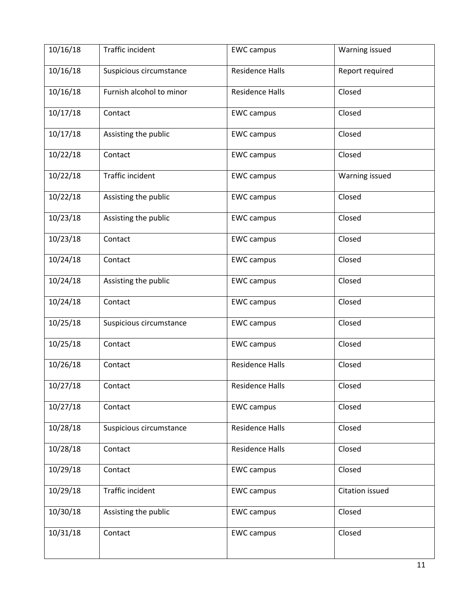| 10/16/18 | Traffic incident         | <b>EWC campus</b>      | Warning issued  |
|----------|--------------------------|------------------------|-----------------|
| 10/16/18 | Suspicious circumstance  | <b>Residence Halls</b> | Report required |
| 10/16/18 | Furnish alcohol to minor | <b>Residence Halls</b> | Closed          |
| 10/17/18 | Contact                  | <b>EWC campus</b>      | Closed          |
| 10/17/18 | Assisting the public     | <b>EWC campus</b>      | Closed          |
| 10/22/18 | Contact                  | <b>EWC campus</b>      | Closed          |
| 10/22/18 | Traffic incident         | <b>EWC campus</b>      | Warning issued  |
| 10/22/18 | Assisting the public     | <b>EWC campus</b>      | Closed          |
| 10/23/18 | Assisting the public     | <b>EWC campus</b>      | Closed          |
| 10/23/18 | Contact                  | <b>EWC campus</b>      | Closed          |
| 10/24/18 | Contact                  | <b>EWC campus</b>      | Closed          |
| 10/24/18 | Assisting the public     | <b>EWC campus</b>      | Closed          |
| 10/24/18 | Contact                  | <b>EWC campus</b>      | Closed          |
| 10/25/18 | Suspicious circumstance  | <b>EWC campus</b>      | Closed          |
| 10/25/18 | Contact                  | <b>EWC campus</b>      | Closed          |
| 10/26/18 | Contact                  | <b>Residence Halls</b> | Closed          |
| 10/27/18 | Contact                  | Residence Halls        | Closed          |
| 10/27/18 | Contact                  | <b>EWC campus</b>      | Closed          |
| 10/28/18 | Suspicious circumstance  | <b>Residence Halls</b> | Closed          |
| 10/28/18 | Contact                  | <b>Residence Halls</b> | Closed          |
| 10/29/18 | Contact                  | <b>EWC campus</b>      | Closed          |
| 10/29/18 | Traffic incident         | <b>EWC campus</b>      | Citation issued |
| 10/30/18 | Assisting the public     | <b>EWC campus</b>      | Closed          |
| 10/31/18 | Contact                  | <b>EWC campus</b>      | Closed          |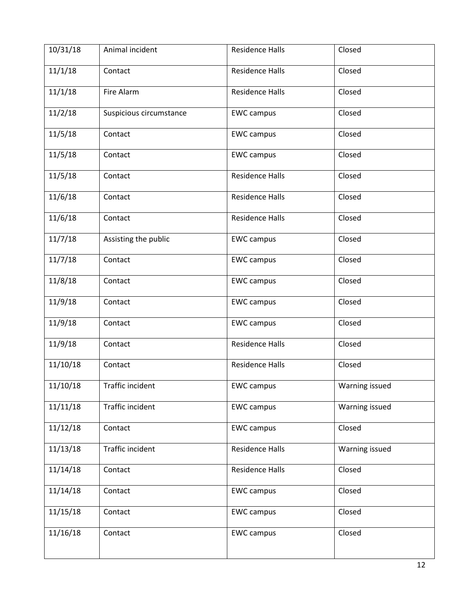| 10/31/18 | Animal incident         | <b>Residence Halls</b> | Closed         |
|----------|-------------------------|------------------------|----------------|
| 11/1/18  | Contact                 | <b>Residence Halls</b> | Closed         |
| 11/1/18  | Fire Alarm              | <b>Residence Halls</b> | Closed         |
| 11/2/18  | Suspicious circumstance | <b>EWC campus</b>      | Closed         |
| 11/5/18  | Contact                 | <b>EWC campus</b>      | Closed         |
| 11/5/18  | Contact                 | <b>EWC campus</b>      | Closed         |
| 11/5/18  | Contact                 | <b>Residence Halls</b> | Closed         |
| 11/6/18  | Contact                 | <b>Residence Halls</b> | Closed         |
| 11/6/18  | Contact                 | <b>Residence Halls</b> | Closed         |
| 11/7/18  | Assisting the public    | <b>EWC campus</b>      | Closed         |
| 11/7/18  | Contact                 | <b>EWC campus</b>      | Closed         |
| 11/8/18  | Contact                 | <b>EWC campus</b>      | Closed         |
| 11/9/18  | Contact                 | <b>EWC campus</b>      | Closed         |
| 11/9/18  | Contact                 | <b>EWC campus</b>      | Closed         |
| 11/9/18  | Contact                 | <b>Residence Halls</b> | Closed         |
| 11/10/18 | Contact                 | <b>Residence Halls</b> | Closed         |
| 11/10/18 | Traffic incident        | <b>EWC campus</b>      | Warning issued |
| 11/11/18 | Traffic incident        | <b>EWC campus</b>      | Warning issued |
| 11/12/18 | Contact                 | <b>EWC campus</b>      | Closed         |
| 11/13/18 | Traffic incident        | <b>Residence Halls</b> | Warning issued |
| 11/14/18 | Contact                 | <b>Residence Halls</b> | Closed         |
| 11/14/18 | Contact                 | <b>EWC campus</b>      | Closed         |
| 11/15/18 | Contact                 | <b>EWC campus</b>      | Closed         |
| 11/16/18 | Contact                 | <b>EWC campus</b>      | Closed         |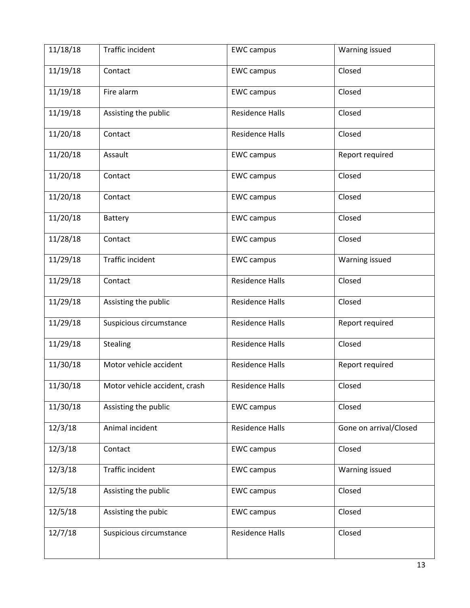| 11/18/18 | Traffic incident              | <b>EWC campus</b>      | Warning issued         |
|----------|-------------------------------|------------------------|------------------------|
| 11/19/18 | Contact                       | <b>EWC campus</b>      | Closed                 |
| 11/19/18 | Fire alarm                    | <b>EWC</b> campus      | Closed                 |
| 11/19/18 | Assisting the public          | <b>Residence Halls</b> | Closed                 |
| 11/20/18 | Contact                       | <b>Residence Halls</b> | Closed                 |
| 11/20/18 | Assault                       | <b>EWC campus</b>      | Report required        |
| 11/20/18 | Contact                       | <b>EWC campus</b>      | Closed                 |
| 11/20/18 | Contact                       | <b>EWC campus</b>      | Closed                 |
| 11/20/18 | Battery                       | <b>EWC campus</b>      | Closed                 |
| 11/28/18 | Contact                       | <b>EWC campus</b>      | Closed                 |
| 11/29/18 | Traffic incident              | <b>EWC campus</b>      | Warning issued         |
| 11/29/18 | Contact                       | <b>Residence Halls</b> | Closed                 |
| 11/29/18 | Assisting the public          | <b>Residence Halls</b> | Closed                 |
| 11/29/18 | Suspicious circumstance       | <b>Residence Halls</b> | Report required        |
| 11/29/18 | Stealing                      | <b>Residence Halls</b> | Closed                 |
| 11/30/18 | Motor vehicle accident        | <b>Residence Halls</b> | Report required        |
| 11/30/18 | Motor vehicle accident, crash | Residence Halls        | Closed                 |
| 11/30/18 | Assisting the public          | <b>EWC campus</b>      | Closed                 |
| 12/3/18  | Animal incident               | <b>Residence Halls</b> | Gone on arrival/Closed |
| 12/3/18  | Contact                       | <b>EWC campus</b>      | Closed                 |
| 12/3/18  | Traffic incident              | <b>EWC campus</b>      | Warning issued         |
| 12/5/18  | Assisting the public          | <b>EWC campus</b>      | Closed                 |
| 12/5/18  | Assisting the pubic           | <b>EWC campus</b>      | Closed                 |
| 12/7/18  | Suspicious circumstance       | <b>Residence Halls</b> | Closed                 |